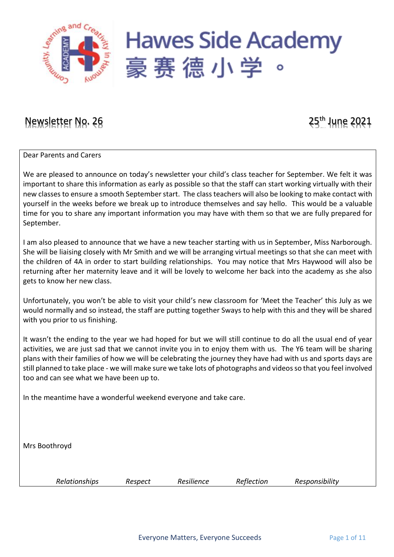

## Newsletter No. 26 25<sup>th</sup> June 2021

Dear Parents and Carers

We are pleased to announce on today's newsletter your child's class teacher for September. We felt it was important to share this information as early as possible so that the staff can start working virtually with their new classes to ensure a smooth September start. The class teachers will also be looking to make contact with yourself in the weeks before we break up to introduce themselves and say hello. This would be a valuable time for you to share any important information you may have with them so that we are fully prepared for September.

I am also pleased to announce that we have a new teacher starting with us in September, Miss Narborough. She will be liaising closely with Mr Smith and we will be arranging virtual meetings so that she can meet with the children of 4A in order to start building relationships. You may notice that Mrs Haywood will also be returning after her maternity leave and it will be lovely to welcome her back into the academy as she also gets to know her new class.

Unfortunately, you won't be able to visit your child's new classroom for 'Meet the Teacher' this July as we would normally and so instead, the staff are putting together Sways to help with this and they will be shared with you prior to us finishing.

It wasn't the ending to the year we had hoped for but we will still continue to do all the usual end of year activities, we are just sad that we cannot invite you in to enjoy them with us. The Y6 team will be sharing plans with their families of how we will be celebrating the journey they have had with us and sports days are still planned to take place - we will make sure we take lots of photographs and videos so that you feel involved too and can see what we have been up to.

In the meantime have a wonderful weekend everyone and take care.

Mrs Boothroyd

*Relationships Respect Resilience Reflection Responsibility*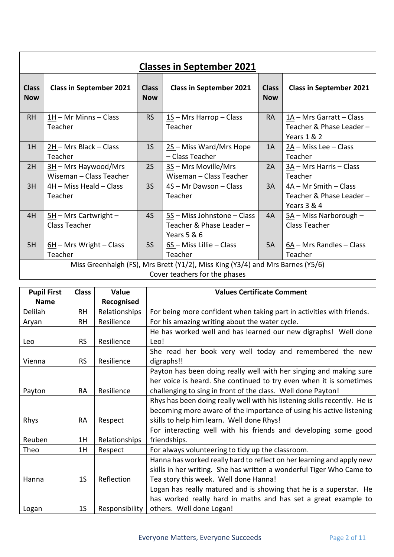|                            | <b>Classes in September 2021</b>                  |                            |                                                                                                                 |                            |                                                                    |  |  |  |  |  |
|----------------------------|---------------------------------------------------|----------------------------|-----------------------------------------------------------------------------------------------------------------|----------------------------|--------------------------------------------------------------------|--|--|--|--|--|
| <b>Class</b><br><b>Now</b> | <b>Class in September 2021</b>                    | <b>Class</b><br><b>Now</b> | <b>Class in September 2021</b>                                                                                  | <b>Class</b><br><b>Now</b> | <b>Class in September 2021</b>                                     |  |  |  |  |  |
| <b>RH</b>                  | 1H - Mr Minns - Class<br>Teacher                  | <b>RS</b>                  | $1S$ – Mrs Harrop – Class<br>Teacher                                                                            | <b>RA</b>                  | 1A - Mrs Garratt - Class<br>Teacher & Phase Leader-<br>Years 1 & 2 |  |  |  |  |  |
| 1H                         | 2H - Mrs Black - Class<br>Teacher                 | 1 <sub>S</sub>             | 2S-Miss Ward/Mrs Hope<br>- Class Teacher                                                                        | 1A                         | $2A$ – Miss Lee – Class<br>Teacher                                 |  |  |  |  |  |
| 2H                         | $3H$ – Mrs Haywood/Mrs<br>Wiseman - Class Teacher | 2S                         | $3S$ – Mrs Moville/Mrs<br>Wiseman - Class Teacher                                                               | 2A                         | 3A - Mrs Harris - Class<br>Teacher                                 |  |  |  |  |  |
| 3H                         | 4H - Miss Heald - Class<br>Teacher                | 35                         | 4S - Mr Dawson - Class<br>Teacher                                                                               | 3A                         | 4A - Mr Smith - Class<br>Teacher & Phase Leader -<br>Years 3 & 4   |  |  |  |  |  |
| 4H                         | $5H$ – Mrs Cartwright –<br>Class Teacher          | 4S                         | $5S$ – Miss Johnstone – Class<br>Teacher & Phase Leader -<br>Years 5 & 6                                        | 4A                         | $5A$ – Miss Narborough –<br><b>Class Teacher</b>                   |  |  |  |  |  |
| 5H                         | $\underline{6H}$ – Mrs Wright – Class<br>Teacher  | <b>5S</b>                  | $6S$ – Miss Lillie – Class<br>Teacher                                                                           | 5A                         | $6A$ – Mrs Randles – Class<br>Teacher                              |  |  |  |  |  |
|                            |                                                   |                            | Miss Greenhalgh (FS), Mrs Brett (Y1/2), Miss King (Y3/4) and Mrs Barnes (Y5/6)<br>Cover teachers for the phases |                            |                                                                    |  |  |  |  |  |

| <b>Pupil First</b> | <b>Class</b>   | Value          | <b>Values Certificate Comment</b>                                         |
|--------------------|----------------|----------------|---------------------------------------------------------------------------|
| <b>Name</b>        |                | Recognised     |                                                                           |
| Delilah            | <b>RH</b>      | Relationships  | For being more confident when taking part in activities with friends.     |
| Aryan              | <b>RH</b>      | Resilience     | For his amazing writing about the water cycle.                            |
|                    |                |                | He has worked well and has learned our new digraphs! Well done            |
| Leo                | <b>RS</b>      | Resilience     | Leo!                                                                      |
|                    |                |                | She read her book very well today and remembered the new                  |
| Vienna             | <b>RS</b>      | Resilience     | digraphs!!                                                                |
|                    |                |                | Payton has been doing really well with her singing and making sure        |
|                    |                |                | her voice is heard. She continued to try even when it is sometimes        |
| Payton             | <b>RA</b>      | Resilience     | challenging to sing in front of the class. Well done Payton!              |
|                    |                |                | Rhys has been doing really well with his listening skills recently. He is |
|                    |                |                | becoming more aware of the importance of using his active listening       |
| Rhys               | <b>RA</b>      | Respect        | skills to help him learn. Well done Rhys!                                 |
|                    |                |                | For interacting well with his friends and developing some good            |
| Reuben             | 1H             | Relationships  | friendships.                                                              |
| Theo               | 1H             | Respect        | For always volunteering to tidy up the classroom.                         |
|                    |                |                | Hanna has worked really hard to reflect on her learning and apply new     |
|                    |                |                | skills in her writing. She has written a wonderful Tiger Who Came to      |
| Hanna              | 1 <sub>S</sub> | Reflection     | Tea story this week. Well done Hanna!                                     |
|                    |                |                | Logan has really matured and is showing that he is a superstar. He        |
|                    |                |                | has worked really hard in maths and has set a great example to            |
| Logan              | 1 <sub>S</sub> | Responsibility | others. Well done Logan!                                                  |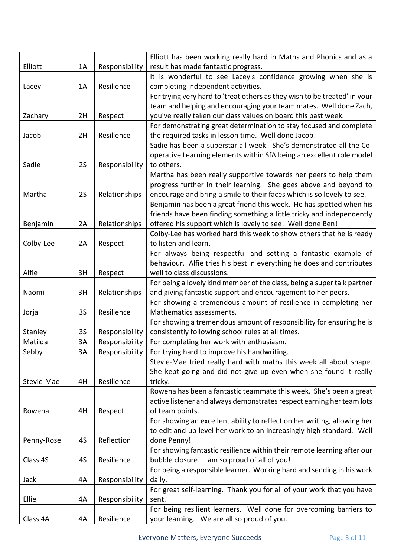|            |           |                | Elliott has been working really hard in Maths and Phonics and as a                                                              |
|------------|-----------|----------------|---------------------------------------------------------------------------------------------------------------------------------|
| Elliott    | 1A        | Responsibility | result has made fantastic progress.                                                                                             |
|            |           |                | It is wonderful to see Lacey's confidence growing when she is                                                                   |
| Lacey      | 1A        | Resilience     | completing independent activities.                                                                                              |
|            |           |                | For trying very hard to 'treat others as they wish to be treated' in your                                                       |
|            |           |                | team and helping and encouraging your team mates. Well done Zach,                                                               |
| Zachary    | 2H        | Respect        | you've really taken our class values on board this past week.                                                                   |
|            |           |                | For demonstrating great determination to stay focused and complete                                                              |
| Jacob      | 2H        | Resilience     | the required tasks in lesson time. Well done Jacob!                                                                             |
|            |           |                | Sadie has been a superstar all week. She's demonstrated all the Co-                                                             |
|            |           |                | operative Learning elements within SfA being an excellent role model                                                            |
| Sadie      | 2S        | Responsibility | to others.                                                                                                                      |
|            |           |                | Martha has been really supportive towards her peers to help them                                                                |
|            |           |                | progress further in their learning. She goes above and beyond to                                                                |
| Martha     | 2S        | Relationships  | encourage and bring a smile to their faces which is so lovely to see.                                                           |
|            |           |                | Benjamin has been a great friend this week. He has spotted when his                                                             |
|            | 2A        |                | friends have been finding something a little tricky and independently                                                           |
| Benjamin   |           | Relationships  | offered his support which is lovely to see! Well done Ben!                                                                      |
|            | 2A        |                | Colby-Lee has worked hard this week to show others that he is ready<br>to listen and learn.                                     |
| Colby-Lee  |           | Respect        | For always being respectful and setting a fantastic example of                                                                  |
|            |           |                | behaviour. Alfie tries his best in everything he does and contributes                                                           |
| Alfie      | 3H        |                | well to class discussions.                                                                                                      |
|            |           | Respect        |                                                                                                                                 |
| Naomi      | 3H        |                | For being a lovely kind member of the class, being a super talk partner                                                         |
|            |           | Relationships  | and giving fantastic support and encouragement to her peers.<br>For showing a tremendous amount of resilience in completing her |
| Jorja      | <b>3S</b> | Resilience     | Mathematics assessments.                                                                                                        |
|            |           |                | For showing a tremendous amount of responsibility for ensuring he is                                                            |
| Stanley    | 3S        | Responsibility | consistently following school rules at all times.                                                                               |
| Matilda    | 3A        | Responsibility | For completing her work with enthusiasm.                                                                                        |
| Sebby      | 3A        | Responsibility | For trying hard to improve his handwriting.                                                                                     |
|            |           |                | Stevie-Mae tried really hard with maths this week all about shape.                                                              |
|            |           |                | She kept going and did not give up even when she found it really                                                                |
| Stevie-Mae | 4H        | Resilience     | tricky.                                                                                                                         |
|            |           |                | Rowena has been a fantastic teammate this week. She's been a great                                                              |
|            |           |                | active listener and always demonstrates respect earning her team lots                                                           |
| Rowena     | 4H        | Respect        | of team points.                                                                                                                 |
|            |           |                | For showing an excellent ability to reflect on her writing, allowing her                                                        |
|            |           |                | to edit and up level her work to an increasingly high standard. Well                                                            |
| Penny-Rose | 4S        | Reflection     | done Penny!                                                                                                                     |
|            |           |                | For showing fantastic resilience within their remote learning after our                                                         |
| Class 4S   | 4S        | Resilience     | bubble closure! I am so proud of all of you!                                                                                    |
|            |           |                | For being a responsible learner. Working hard and sending in his work                                                           |
| Jack       | 4A        | Responsibility | daily.                                                                                                                          |
|            |           |                | For great self-learning. Thank you for all of your work that you have                                                           |
| Ellie      | 4A        | Responsibility | sent.                                                                                                                           |
|            |           |                | For being resilient learners. Well done for overcoming barriers to                                                              |
| Class 4A   | 4A        | Resilience     | your learning. We are all so proud of you.                                                                                      |
|            |           |                |                                                                                                                                 |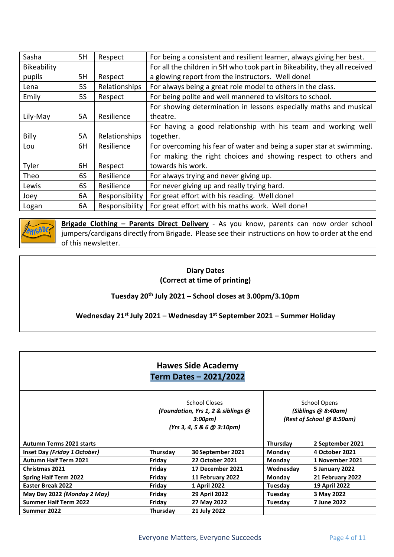| Sasha        | 5H        | Respect        | For being a consistent and resilient learner, always giving her best.      |
|--------------|-----------|----------------|----------------------------------------------------------------------------|
| Bikeability  |           |                | For all the children in 5H who took part in Bikeability, they all received |
| pupils       | 5H        | Respect        | a glowing report from the instructors. Well done!                          |
| Lena         | <b>5S</b> | Relationships  | For always being a great role model to others in the class.                |
| Emily        | 5S        | Respect        | For being polite and well mannered to visitors to school.                  |
|              |           |                | For showing determination in lessons especially maths and musical          |
| Lily-May     | <b>5A</b> | Resilience     | theatre.                                                                   |
|              |           |                | For having a good relationship with his team and working well              |
| <b>Billy</b> | <b>5A</b> | Relationships  | together.                                                                  |
| Lou          | 6H        | Resilience     | For overcoming his fear of water and being a super star at swimming.       |
|              |           |                | For making the right choices and showing respect to others and             |
| Tyler        | 6H        | Respect        | towards his work.                                                          |
| Theo         | 6S        | Resilience     | For always trying and never giving up.                                     |
| Lewis        | 6S        | Resilience     | For never giving up and really trying hard.                                |
| Joey         | 6A        | Responsibility | For great effort with his reading. Well done!                              |
| Logan        | 6A        | Responsibility | For great effort with his maths work. Well done!                           |



**Brigade Clothing – Parents Direct Delivery** - As you know, parents can now order school jumpers/cardigans directly from Brigade. Please see their instructions on how to order at the end of this newsletter.

#### **Diary Dates (Correct at time of printing)**

**Tuesday 20th July 2021 – School closes at 3.00pm/3.10pm**

**Wednesday 21st July 2021 – Wednesday 1 st September 2021 – Summer Holiday**

|                                 |          | <b>Hawes Side Academy</b><br>Term Dates - 2021/2022                                          |                                                                         |                  |  |
|---------------------------------|----------|----------------------------------------------------------------------------------------------|-------------------------------------------------------------------------|------------------|--|
|                                 |          | School Closes<br>(Foundation, Yrs 1, 2 & siblings @<br>3:00pm)<br>(Yrs 3, 4, 5 & 6 & 3:10pm) | <b>School Opens</b><br>(Siblings @ 8:40am)<br>(Rest of School @ 8:50am) |                  |  |
| <b>Autumn Terms 2021 starts</b> |          |                                                                                              | Thursday                                                                | 2 September 2021 |  |
| Inset Day (Friday 1 October)    | Thursday | 30 September 2021                                                                            | Monday                                                                  | 4 October 2021   |  |
| <b>Autumn Half Term 2021</b>    | Friday   | <b>22 October 2021</b>                                                                       | <b>Monday</b>                                                           | 1 November 2021  |  |
| <b>Christmas 2021</b>           | Friday   | 17 December 2021                                                                             | Wednesday                                                               | 5 January 2022   |  |
| <b>Spring Half Term 2022</b>    | Friday   | 11 February 2022                                                                             | <b>Monday</b>                                                           | 21 February 2022 |  |
| <b>Easter Break 2022</b>        | Friday   | 1 April 2022                                                                                 | Tuesday                                                                 | 19 April 2022    |  |
| May Day 2022 (Monday 2 May)     | Friday   | <b>29 April 2022</b>                                                                         | Tuesday                                                                 | 3 May 2022       |  |
| <b>Summer Half Term 2022</b>    | Friday   | 27 May 2022                                                                                  | Tuesday                                                                 | 7 June 2022      |  |
| Summer 2022                     | Thursday | 21 July 2022                                                                                 |                                                                         |                  |  |
|                                 |          |                                                                                              |                                                                         |                  |  |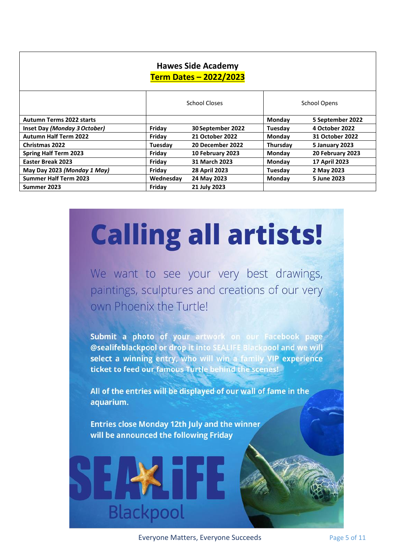| <b>Hawes Side Academy</b><br><b>Term Dates - 2022/2023</b> |                                      |                      |               |                       |  |  |  |  |  |  |
|------------------------------------------------------------|--------------------------------------|----------------------|---------------|-----------------------|--|--|--|--|--|--|
|                                                            | School Closes<br><b>School Opens</b> |                      |               |                       |  |  |  |  |  |  |
| <b>Autumn Terms 2022 starts</b>                            |                                      |                      | Monday        | 5 September 2022      |  |  |  |  |  |  |
| Inset Day (Monday 3 October)                               | Friday                               | 30 September 2022    | Tuesday       | 4 October 2022        |  |  |  |  |  |  |
| <b>Autumn Half Term 2022</b>                               | Friday                               | 21 October 2022      | Monday        | 31 October 2022       |  |  |  |  |  |  |
| <b>Christmas 2022</b>                                      | Tuesdav                              | 20 December 2022     | Thursday      | <b>5 January 2023</b> |  |  |  |  |  |  |
| <b>Spring Half Term 2023</b>                               | Friday                               | 10 February 2023     | Monday        | 20 February 2023      |  |  |  |  |  |  |
| <b>Easter Break 2023</b>                                   | Friday                               | 31 March 2023        | <b>Monday</b> | 17 April 2023         |  |  |  |  |  |  |
| May Day 2023 (Monday 1 May)                                | Friday                               | <b>28 April 2023</b> | Tuesday       | 2 May 2023            |  |  |  |  |  |  |
| <b>Summer Half Term 2023</b>                               | Wednesday                            | 24 May 2023          | <b>Monday</b> | 5 June 2023           |  |  |  |  |  |  |
| Summer 2023                                                | Friday                               | 21 July 2023         |               |                       |  |  |  |  |  |  |

# **Calling all artists!**

We want to see your very best drawings, paintings, sculptures and creations of our very own Phoenix the Turtle!

Submit a photo of your artwork on our Facebook page @sealifeblackpool or drop it into SEALIFE Blackpool and we will select a winning entry, who will win a family VIP experience ticket to feed our famous Turtle behind the scenes!

All of the entries will be displayed of our wall of fame in the aquarium.

Entries close Monday 12th July and the winner will be announced the following Friday

**Blackpool** 

Everyone Matters, Everyone Succeeds Page 5 of 11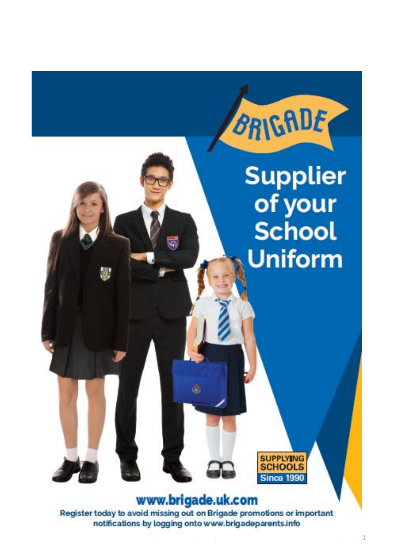

## www.brigade.uk.com

Register today to avoid missing out on Brigade promotions or important notifications by logging onto www.brigadeparents.info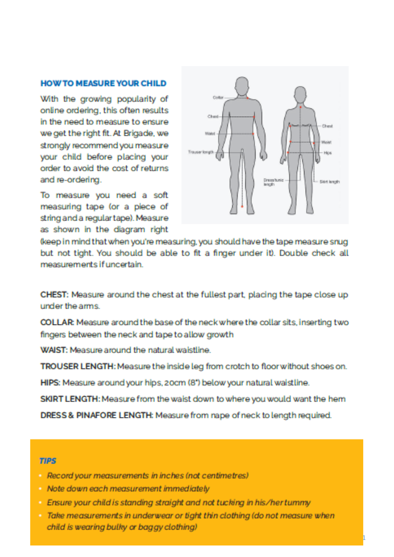#### **HOW TO MEASURE YOUR CHILD**

With the growing popularity of online ordering, this often results in the need to measure to ensure we get the right fit. At Brigade, we strongly recommend you measure vour child before placing your order to avoid the cost of returns and re-ordering.

To measure you need a soft measuring tape (or a piece of string and a regular tape). Measure as shown in the diagram right



(keep in mind that when you're measuring, you should have the tape measure snug but not tight. You should be able to fit a finger under it). Double check all measurements if uncertain

CHEST: Measure around the chest at the fullest part, placing the tape close up under the arms.

COLLAR: Measure around the base of the neck where the collar sits, inserting two fingers between the neck and tape to allow growth

WAIST: Measure around the natural waistline.

TROUSER LENGTH: Measure the inside leg from crotch to floor without shoes on.

HIPS: Measure around your hips, 20cm (8") below your natural waist line.

SKIRT LENGTH: Measure from the waist down to where you would want the hem

DRESS & PINAFORE LENGTH: Measure from nape of neck to length required.

#### **TIPS**

- Record your measurements in inches (not centimetres)
- Note down each measurement immediately
- Ensure your child is standing straight and not tucking in his/her tummy
- Take measurements in underwear or tight thin clothing (do not measure when child is wearing bulky or baggy clothing)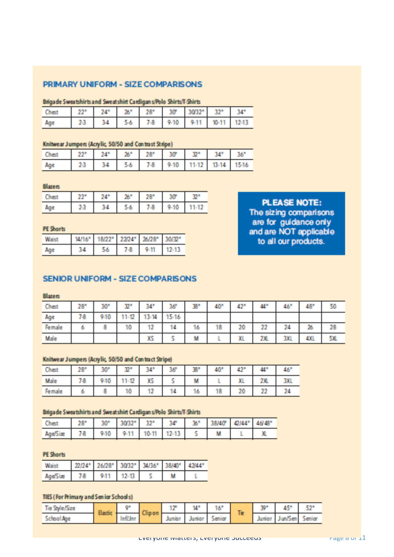#### PRIMARY UNIFORM - SIZE COMPARISONS

#### Ronade Sweatchirts and Sweatshirt Cardinan s/Polo Shirts/T-Shirts

| المستندد<br>_______ | 998 | 24 | 98.9<br>Дυ | 28' | 30         | <b>NUMBER</b><br>___ | 5.51<br>--   | 34  |
|---------------------|-----|----|------------|-----|------------|----------------------|--------------|-----|
| Age                 | 23  | ы  | . .        | 8   | 10<br>-95. | 9.11                 | <b>Board</b> | . . |

#### Knitwear Jumpers (Acrylic, 50/50 and Contrast Stripe)

| m<br>_____ | 999 |    | 26" | <b>CONTRACTOR</b><br>28 | 30°<br>-- | -an   |       | --    |
|------------|-----|----|-----|-------------------------|-----------|-------|-------|-------|
| Age        | 23  | ъı | 54. | 겨울                      | $9 - 10$  | 11-12 | 11.14 | 15.18 |

#### **Blazers**

| _____ | <b>STATION</b> | 98 F<br>æ |         | <b>SERVICE</b> |      |
|-------|----------------|-----------|---------|----------------|------|
| mga . | m<br>--        | 20        | -8<br>u | 10             | u an |

#### **PE Shorts**

|    |    |            |   | п |
|----|----|------------|---|---|
| 34 | -- | 7 O<br>830 | m |   |

#### **PLEASE NOTE:**

The sizing comparisons are for guidance only and are NOT applicable to all our products.

#### SENIOR UNIFORM - SIZE COMPARISONS

#### **Rimero**

| Chest  | 28" | w<br><b>CONTRACT</b> | 55.00    | 34"                     | 36   | 38° | 40" | 42"       | 41  | 46" | 48° | 50          |
|--------|-----|----------------------|----------|-------------------------|------|-----|-----|-----------|-----|-----|-----|-------------|
| Age    | 78  | 940                  | 12<br>相場 | 3-14<br><b>CONTRACT</b> | 5-16 |     |     |           |     |     |     |             |
| Female |     |                      | 10       |                         | 14   | 16  | 18  | 20        | 22  | 24  | 26  | 28          |
| Male   |     |                      |          | a.                      |      |     |     | M.<br>AL. | 2X. | 30. | 4XL | cw<br>an Ch |

#### Knitwear Jumpers (Acrylic, 50/50 and Contract Stripe)

| Chest  | 28° | ans<br>an ta | 55.   | 7.45                   | 38 | X      | 40° | 42° | 44"                 | 46' |
|--------|-----|--------------|-------|------------------------|----|--------|-----|-----|---------------------|-----|
| Male   | 78. | 940          | 11.19 | M.C.<br><b>Charles</b> |    | ш<br>m |     | XI. | 981<br>and a family | ЭΥ. |
| Female |     |              | .     | . .                    | 14 | o      | 18  | 20  | <b>CONTRACTOR</b>   |     |

#### Brigade Sweatshirts and Sweatshirt Cardigan s/Polo Shirts/T-Shirts

| Chest<br>---- | 996 |     |      |       | ገሥ    | w<br>-- | <b>19840F</b> | AN MY |
|---------------|-----|-----|------|-------|-------|---------|---------------|-------|
| Ana/Cisa      | 70  | 940 | 9.11 | 10.11 | 39.49 |         |               |       |

#### **PE Shorts**

| m |   |   | יינו או<br>___ | --- | m<br>--- |  |
|---|---|---|----------------|-----|----------|--|
| æ | - | ш |                |     |          |  |

#### TIES (For Primary and Senior Schools)

| Tie<br><b>Dick and I</b><br>NN. | <b>IPM</b><br><b>CONTRACTOR</b><br><b>CONTRACTOR</b><br><b>BOTTLESS BILDER</b> |                   | <b>CONTRACTOR</b><br><b>Service</b><br>ngan samun<br>. . | .<br>a shee                         |              | 10                       | <b>The State</b><br><b>TE</b> | .<br><b>COLOR</b> | <b><i><u>Property</u></i></b><br><b>THE</b> |           |
|---------------------------------|--------------------------------------------------------------------------------|-------------------|----------------------------------------------------------|-------------------------------------|--------------|--------------------------|-------------------------------|-------------------|---------------------------------------------|-----------|
| 医心脏 计字<br>_____                 |                                                                                | وسالة فاسا<br>. . |                                                          | <b>COMPANY</b><br>n.<br><b>STAR</b> | <b>COLOR</b> | mine<br><b>Continued</b> |                               | <b>STORY</b>      | <b>CONTRACTOR</b>                           | and the L |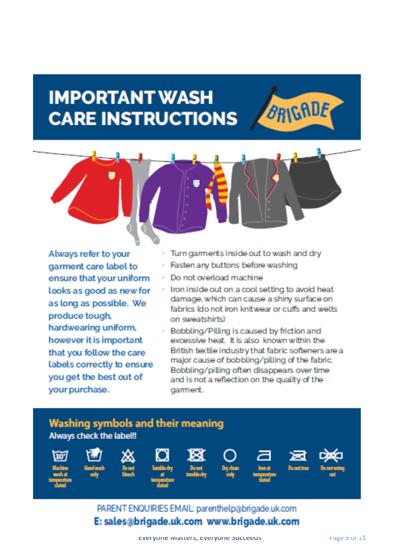## **IMPORTANT WASH CARE INSTRUCTIONS**



Always refer to your garment care label to ensure that your uniform looks as good as new for as long as possible. We produce tough, hardwearing uniform, however it is important that you follow the care labels correctly to ensure you get the best out of your purchase.

Turn garments inside out to wash and dry

**BRIGADE** 

- Fasten any buttons before washing
- Do not overload machine
- Iron inside out on a cool setting to avoid heat damage, which can cause a shiny surface on fabrics (do not iron knitwear or cuffs and welts) on sweatshirts)
- Bobbling/Pilling is caused by friction and excessive heat. It is also known within the British textile industry that fabric softeners are a major cause of bobbling/pilling of the fabric. Bobbling/pilling often disappears over time and is not a reflection on the quality of the garment.



### PARENT ENQUIRIES EMAIL: parenthelp@brigade.uk.com E: sales@brigade.uk.com www.brigade.uk.com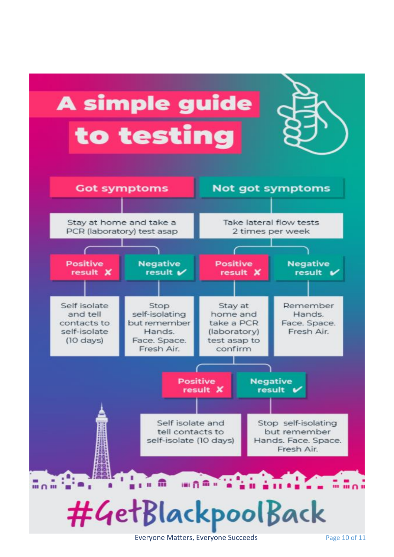

Everyone Matters, Everyone Succeeds Page 10 of 11